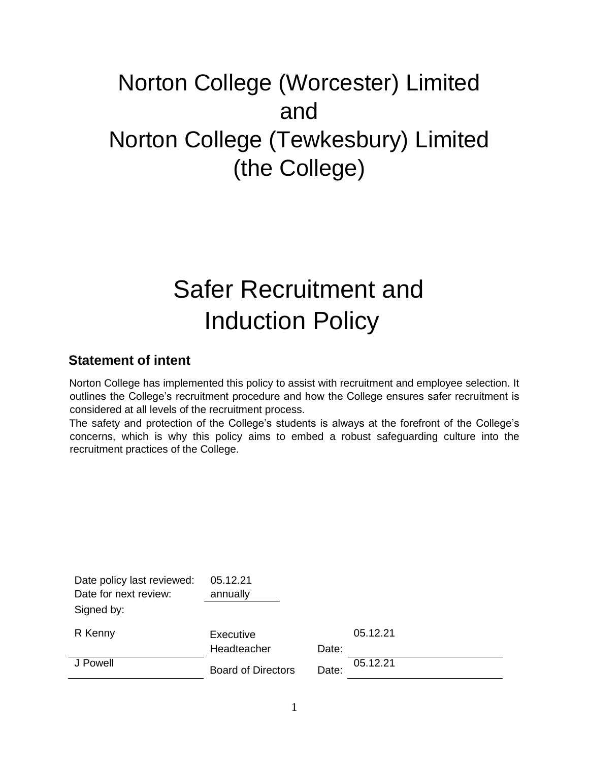# Norton College (Worcester) Limited and Norton College (Tewkesbury) Limited (the College)

# Safer Recruitment and Induction Policy

# **Statement of intent**

Norton College has implemented this policy to assist with recruitment and employee selection. It outlines the College's recruitment procedure and how the College ensures safer recruitment is considered at all levels of the recruitment process.

The safety and protection of the College's students is always at the forefront of the College's concerns, which is why this policy aims to embed a robust safeguarding culture into the recruitment practices of the College.

| Date policy last reviewed: | 05.12.21                  |       |          |
|----------------------------|---------------------------|-------|----------|
| Date for next review:      | annually                  |       |          |
| Signed by:                 |                           |       |          |
| R Kenny                    | Executive                 |       | 05.12.21 |
|                            | Headteacher               | Date: |          |
| J Powell                   | <b>Board of Directors</b> | Date: | 05.12.21 |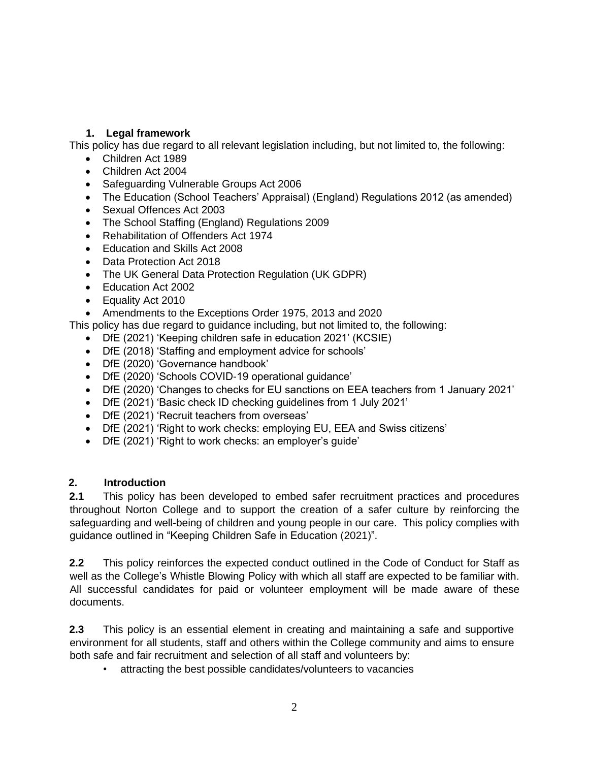# **1. Legal framework**

This policy has due regard to all relevant legislation including, but not limited to, the following:

- Children Act 1989
- Children Act 2004
- Safeguarding Vulnerable Groups Act 2006
- The Education (School Teachers' Appraisal) (England) Regulations 2012 (as amended)
- Sexual Offences Act 2003
- The School Staffing (England) Regulations 2009
- Rehabilitation of Offenders Act 1974
- Education and Skills Act 2008
- Data Protection Act 2018
- The UK General Data Protection Regulation (UK GDPR)
- Education Act 2002
- Equality Act 2010
- Amendments to the Exceptions Order 1975, 2013 and 2020

This policy has due regard to guidance including, but not limited to, the following:

- DfE (2021) 'Keeping children safe in education 2021' (KCSIE)
- DfE (2018) 'Staffing and employment advice for schools'
- DfE (2020) 'Governance handbook'
- DfE (2020) 'Schools COVID-19 operational guidance'
- DfE (2020) 'Changes to checks for EU sanctions on EEA teachers from 1 January 2021'
- DfE (2021) 'Basic check ID checking guidelines from 1 July 2021'
- DfE (2021) 'Recruit teachers from overseas'
- DfE (2021) 'Right to work checks: employing EU, EEA and Swiss citizens'
- DfE (2021) 'Right to work checks: an employer's guide'

# **2. Introduction**

**2.1** This policy has been developed to embed safer recruitment practices and procedures throughout Norton College and to support the creation of a safer culture by reinforcing the safeguarding and well-being of children and young people in our care. This policy complies with guidance outlined in "Keeping Children Safe in Education (2021)".

**2.2** This policy reinforces the expected conduct outlined in the Code of Conduct for Staff as well as the College's Whistle Blowing Policy with which all staff are expected to be familiar with. All successful candidates for paid or volunteer employment will be made aware of these documents.

**2.3** This policy is an essential element in creating and maintaining a safe and supportive environment for all students, staff and others within the College community and aims to ensure both safe and fair recruitment and selection of all staff and volunteers by:

• attracting the best possible candidates/volunteers to vacancies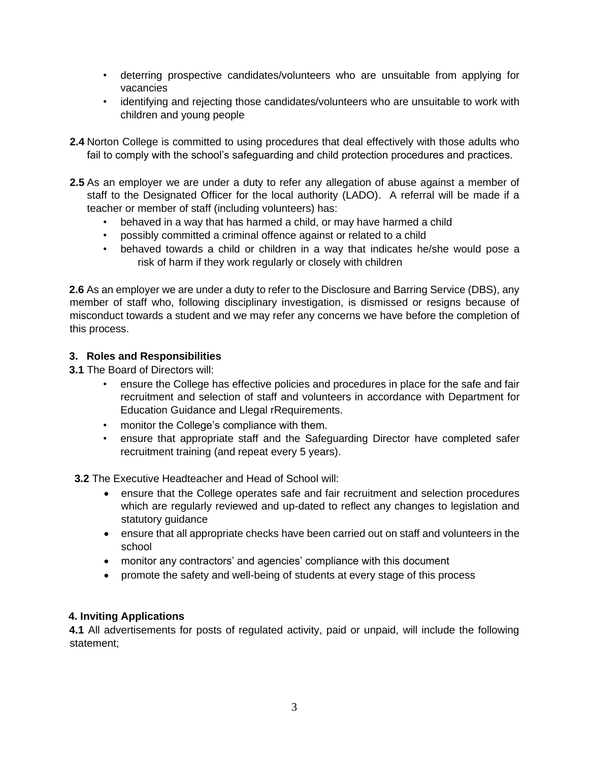- deterring prospective candidates/volunteers who are unsuitable from applying for vacancies
- identifying and rejecting those candidates/volunteers who are unsuitable to work with children and young people
- **2.4** Norton College is committed to using procedures that deal effectively with those adults who fail to comply with the school's safeguarding and child protection procedures and practices.
- **2.5** As an employer we are under a duty to refer any allegation of abuse against a member of staff to the Designated Officer for the local authority (LADO). A referral will be made if a teacher or member of staff (including volunteers) has:
	- behaved in a way that has harmed a child, or may have harmed a child
	- possibly committed a criminal offence against or related to a child
	- behaved towards a child or children in a way that indicates he/she would pose a risk of harm if they work regularly or closely with children

**2.6** As an employer we are under a duty to refer to the Disclosure and Barring Service (DBS), any member of staff who, following disciplinary investigation, is dismissed or resigns because of misconduct towards a student and we may refer any concerns we have before the completion of this process.

# **3. Roles and Responsibilities**

**3.1** The Board of Directors will:

- ensure the College has effective policies and procedures in place for the safe and fair recruitment and selection of staff and volunteers in accordance with Department for Education Guidance and Llegal rRequirements.
- monitor the College's compliance with them.
- ensure that appropriate staff and the Safeguarding Director have completed safer recruitment training (and repeat every 5 years).

 **3.2** The Executive Headteacher and Head of School will:

- ensure that the College operates safe and fair recruitment and selection procedures which are regularly reviewed and up-dated to reflect any changes to legislation and statutory guidance
- ensure that all appropriate checks have been carried out on staff and volunteers in the school
- monitor any contractors' and agencies' compliance with this document
- promote the safety and well-being of students at every stage of this process

# **4. Inviting Applications**

**4.1** All advertisements for posts of regulated activity, paid or unpaid, will include the following statement;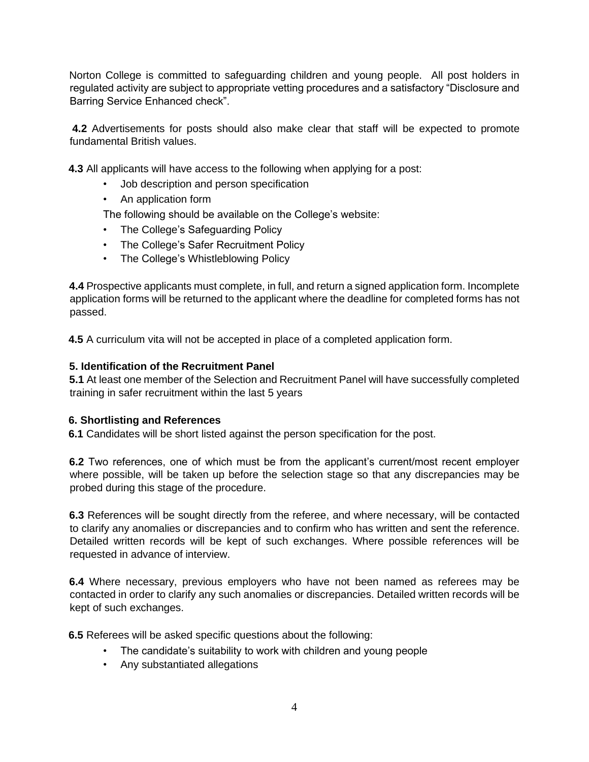Norton College is committed to safeguarding children and young people. All post holders in regulated activity are subject to appropriate vetting procedures and a satisfactory "Disclosure and Barring Service Enhanced check".

**4.2** Advertisements for posts should also make clear that staff will be expected to promote fundamental British values.

**4.3** All applicants will have access to the following when applying for a post:

- Job description and person specification
- An application form

The following should be available on the College's website:

- The College's Safeguarding Policy
- The College's Safer Recruitment Policy
- The College's Whistleblowing Policy

**4.4** Prospective applicants must complete, in full, and return a signed application form. Incomplete application forms will be returned to the applicant where the deadline for completed forms has not passed.

**4.5** A curriculum vita will not be accepted in place of a completed application form.

# **5. Identification of the Recruitment Panel**

**5.1** At least one member of the Selection and Recruitment Panel will have successfully completed training in safer recruitment within the last 5 years

# **6. Shortlisting and References**

**6.1** Candidates will be short listed against the person specification for the post.

**6.2** Two references, one of which must be from the applicant's current/most recent employer where possible, will be taken up before the selection stage so that any discrepancies may be probed during this stage of the procedure.

**6.3** References will be sought directly from the referee, and where necessary, will be contacted to clarify any anomalies or discrepancies and to confirm who has written and sent the reference. Detailed written records will be kept of such exchanges. Where possible references will be requested in advance of interview.

**6.4** Where necessary, previous employers who have not been named as referees may be contacted in order to clarify any such anomalies or discrepancies. Detailed written records will be kept of such exchanges.

**6.5** Referees will be asked specific questions about the following:

- The candidate's suitability to work with children and young people
- Any substantiated allegations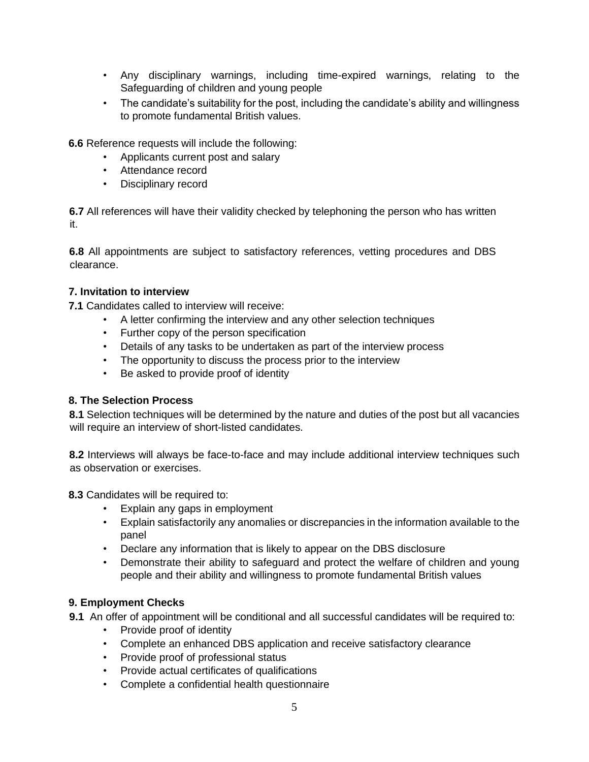- Any disciplinary warnings, including time-expired warnings, relating to the Safeguarding of children and young people
- The candidate's suitability for the post, including the candidate's ability and willingness to promote fundamental British values.

**6.6** Reference requests will include the following:

- Applicants current post and salary
- Attendance record
- Disciplinary record

**6.7** All references will have their validity checked by telephoning the person who has written it.

**6.8** All appointments are subject to satisfactory references, vetting procedures and DBS clearance.

# **7. Invitation to interview**

**7.1** Candidates called to interview will receive:

- A letter confirming the interview and any other selection techniques
- Further copy of the person specification
- Details of any tasks to be undertaken as part of the interview process
- The opportunity to discuss the process prior to the interview
- Be asked to provide proof of identity

# **8. The Selection Process**

**8.1** Selection techniques will be determined by the nature and duties of the post but all vacancies will require an interview of short-listed candidates.

**8.2** Interviews will always be face-to-face and may include additional interview techniques such as observation or exercises.

**8.3** Candidates will be required to:

- Explain any gaps in employment
- Explain satisfactorily any anomalies or discrepancies in the information available to the panel
- Declare any information that is likely to appear on the DBS disclosure
- Demonstrate their ability to safeguard and protect the welfare of children and young people and their ability and willingness to promote fundamental British values

# **9. Employment Checks**

- **9.1** An offer of appointment will be conditional and all successful candidates will be required to:
	- Provide proof of identity
		- Complete an enhanced DBS application and receive satisfactory clearance
		- Provide proof of professional status
		- Provide actual certificates of qualifications
		- Complete a confidential health questionnaire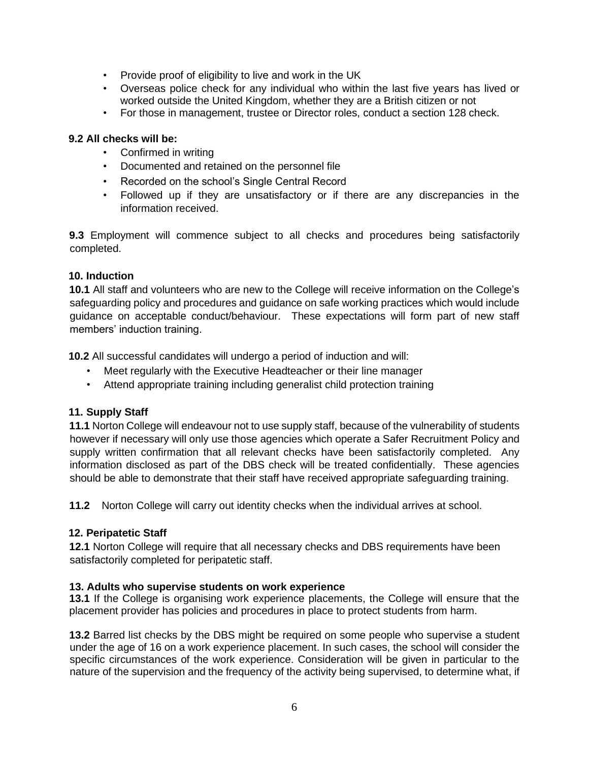- Provide proof of eligibility to live and work in the UK
- Overseas police check for any individual who within the last five years has lived or worked outside the United Kingdom, whether they are a British citizen or not
- For those in management, trustee or Director roles, conduct a section 128 check.

# **9.2 All checks will be:**

- Confirmed in writing
- Documented and retained on the personnel file
- Recorded on the school's Single Central Record
- Followed up if they are unsatisfactory or if there are any discrepancies in the information received.

**9.3** Employment will commence subject to all checks and procedures being satisfactorily completed.

# **10. Induction**

**10.1** All staff and volunteers who are new to the College will receive information on the College's safeguarding policy and procedures and guidance on safe working practices which would include guidance on acceptable conduct/behaviour. These expectations will form part of new staff members' induction training.

**10.2** All successful candidates will undergo a period of induction and will:

- Meet regularly with the Executive Headteacher or their line manager
- Attend appropriate training including generalist child protection training

# **11. Supply Staff**

**11.1** Norton College will endeavour not to use supply staff, because of the vulnerability of students however if necessary will only use those agencies which operate a Safer Recruitment Policy and supply written confirmation that all relevant checks have been satisfactorily completed. Any information disclosed as part of the DBS check will be treated confidentially. These agencies should be able to demonstrate that their staff have received appropriate safeguarding training.

**11.2** Norton College will carry out identity checks when the individual arrives at school.

# **12. Peripatetic Staff**

**12.1** Norton College will require that all necessary checks and DBS requirements have been satisfactorily completed for peripatetic staff.

# **13. Adults who supervise students on work experience**

**13.1** If the College is organising work experience placements, the College will ensure that the placement provider has policies and procedures in place to protect students from harm.

**13.2** Barred list checks by the DBS might be required on some people who supervise a student under the age of 16 on a work experience placement. In such cases, the school will consider the specific circumstances of the work experience. Consideration will be given in particular to the nature of the supervision and the frequency of the activity being supervised, to determine what, if